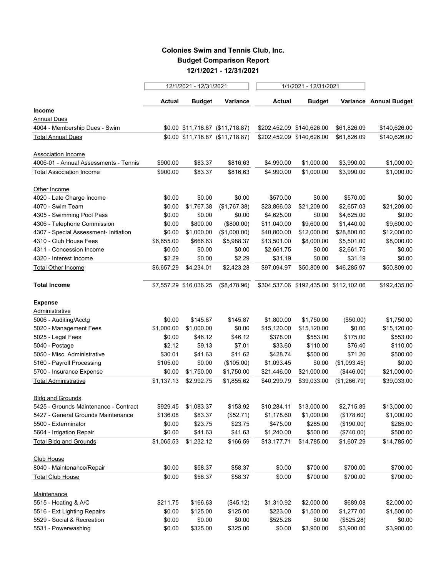## **Colonies Swim and Tennis Club, Inc. Budget Comparison Report 12/1/2021 - 12/31/2021**

|                                         |            | 12/1/2021 - 12/31/2021 |                                  | 1/1/2021 - 12/31/2021     |                                        |              |                        |  |
|-----------------------------------------|------------|------------------------|----------------------------------|---------------------------|----------------------------------------|--------------|------------------------|--|
|                                         | Actual     | <b>Budget</b>          | Variance                         | Actual                    | <b>Budget</b>                          |              | Variance Annual Budget |  |
| <b>Income</b>                           |            |                        |                                  |                           |                                        |              |                        |  |
| <b>Annual Dues</b>                      |            |                        |                                  |                           |                                        |              |                        |  |
| 4004 - Membership Dues - Swim           |            |                        | \$0.00 \$11,718.87 (\$11,718.87) | \$202,452.09 \$140,626.00 |                                        | \$61,826.09  | \$140,626.00           |  |
| <b>Total Annual Dues</b>                |            |                        | \$0.00 \$11,718.87 (\$11,718.87) |                           | \$202,452.09 \$140,626.00              | \$61,826.09  | \$140,626.00           |  |
| Association Income                      |            |                        |                                  |                           |                                        |              |                        |  |
| 4006-01 - Annual Assessments - Tennis   | \$900.00   | \$83.37                | \$816.63                         | \$4,990.00                | \$1,000.00                             | \$3,990.00   | \$1,000.00             |  |
| <b>Total Association Income</b>         | \$900.00   | \$83.37                | \$816.63                         | \$4,990.00                | \$1,000.00                             | \$3,990.00   | \$1,000.00             |  |
| Other Income                            |            |                        |                                  |                           |                                        |              |                        |  |
| 4020 - Late Charge Income               | \$0.00     | \$0.00                 | \$0.00                           | \$570.00                  | \$0.00                                 | \$570.00     | \$0.00                 |  |
| 4070 - Swim Team                        | \$0.00     | \$1,767.38             | (\$1,767.38)                     | \$23,866.03               | \$21,209.00                            | \$2,657.03   | \$21,209.00            |  |
| 4305 - Swimming Pool Pass               | \$0.00     | \$0.00                 | \$0.00                           | \$4,625.00                | \$0.00                                 | \$4,625.00   | \$0.00                 |  |
| 4306 - Telephone Commission             | \$0.00     | \$800.00               | (\$800.00)                       | \$11,040.00               | \$9,600.00                             | \$1,440.00   | \$9,600.00             |  |
| 4307 - Special Assessment- Initiation   | \$0.00     | \$1,000.00             | (\$1,000.00)                     | \$40,800.00               | \$12,000.00                            | \$28,800.00  | \$12,000.00            |  |
| 4310 - Club House Fees                  | \$6,655.00 | \$666.63               | \$5,988.37                       | \$13,501.00               | \$8,000.00                             | \$5,501.00   | \$8,000.00             |  |
| 4311 - Concession Income                | \$0.00     | \$0.00                 | \$0.00                           | \$2,661.75                | \$0.00                                 | \$2,661.75   | \$0.00                 |  |
| 4320 - Interest Income                  | \$2.29     | \$0.00                 | \$2.29                           | \$31.19                   | \$0.00                                 | \$31.19      | \$0.00                 |  |
| Total Other Income                      | \$6,657.29 | \$4,234.01             | \$2,423.28                       | \$97,094.97               | \$50,809.00                            | \$46,285.97  | \$50,809.00            |  |
| <b>Total Income</b>                     |            | \$7,557.29 \$16,036.25 | (\$8,478.96)                     |                           | \$304,537.06 \$192,435.00 \$112,102.06 |              | \$192,435.00           |  |
|                                         |            |                        |                                  |                           |                                        |              |                        |  |
| <b>Expense</b>                          |            |                        |                                  |                           |                                        |              |                        |  |
| Administrative<br>5006 - Auditing/Acctg | \$0.00     | \$145.87               | \$145.87                         | \$1,800.00                | \$1,750.00                             | (\$50.00)    | \$1,750.00             |  |
| 5020 - Management Fees                  | \$1,000.00 | \$1,000.00             | \$0.00                           | \$15,120.00               | \$15,120.00                            | \$0.00       | \$15,120.00            |  |
| 5025 - Legal Fees                       | \$0.00     | \$46.12                | \$46.12                          | \$378.00                  | \$553.00                               | \$175.00     | \$553.00               |  |
| 5040 - Postage                          | \$2.12     | \$9.13                 | \$7.01                           | \$33.60                   | \$110.00                               | \$76.40      | \$110.00               |  |
| 5050 - Misc. Administrative             | \$30.01    | \$41.63                | \$11.62                          | \$428.74                  | \$500.00                               | \$71.26      | \$500.00               |  |
| 5160 - Payroll Processing               | \$105.00   | \$0.00                 | (\$105.00)                       | \$1,093.45                | \$0.00                                 | (\$1,093.45) | \$0.00                 |  |
| 5700 - Insurance Expense                | \$0.00     | \$1,750.00             | \$1,750.00                       | \$21,446.00               | \$21,000.00                            | (\$446.00)   | \$21,000.00            |  |
| <b>Total Administrative</b>             | \$1,137.13 | \$2,992.75             | \$1,855.62                       | \$40,299.79               | \$39,033.00                            | (\$1,266.79) | \$39,033.00            |  |
| <b>Bldg and Grounds</b>                 |            |                        |                                  |                           |                                        |              |                        |  |
| 5425 - Grounds Maintenance - Contract   | \$929.45   | \$1,083.37             | \$153.92                         | \$10,284.11               | \$13,000.00                            | \$2,715.89   | \$13,000.00            |  |
| 5427 - General Grounds Maintenance      | \$136.08   | \$83.37                | (\$52.71)                        | \$1,178.60                | \$1,000.00                             | (\$178.60)   | \$1,000.00             |  |
| 5500 - Exterminator                     | \$0.00     | \$23.75                | \$23.75                          | \$475.00                  | \$285.00                               | (\$190.00)   | \$285.00               |  |
| 5604 - Irrigation Repair                | \$0.00     | \$41.63                | \$41.63                          | \$1,240.00                | \$500.00                               | (\$740.00)   | \$500.00               |  |
| <b>Total Bldg and Grounds</b>           | \$1,065.53 | \$1,232.12             | \$166.59                         | \$13,177.71               | \$14,785.00                            | \$1,607.29   | \$14,785.00            |  |
| <b>Club House</b>                       |            |                        |                                  |                           |                                        |              |                        |  |
| 8040 - Maintenance/Repair               | \$0.00     | \$58.37                | \$58.37                          | \$0.00                    | \$700.00                               | \$700.00     | \$700.00               |  |
| <b>Total Club House</b>                 | \$0.00     | \$58.37                | \$58.37                          | \$0.00                    | \$700.00                               | \$700.00     | \$700.00               |  |
| Maintenance                             |            |                        |                                  |                           |                                        |              |                        |  |
| 5515 - Heating & A/C                    | \$211.75   | \$166.63               | (\$45.12)                        | \$1,310.92                | \$2,000.00                             | \$689.08     | \$2,000.00             |  |
| 5516 - Ext Lighting Repairs             | \$0.00     | \$125.00               | \$125.00                         | \$223.00                  | \$1,500.00                             | \$1,277.00   | \$1,500.00             |  |
| 5529 - Social & Recreation              | \$0.00     | \$0.00                 | \$0.00                           | \$525.28                  | \$0.00                                 | (\$525.28)   | \$0.00                 |  |
| 5531 - Powerwashing                     | \$0.00     | \$325.00               | \$325.00                         | \$0.00                    | \$3,900.00                             | \$3,900.00   | \$3,900.00             |  |
|                                         |            |                        |                                  |                           |                                        |              |                        |  |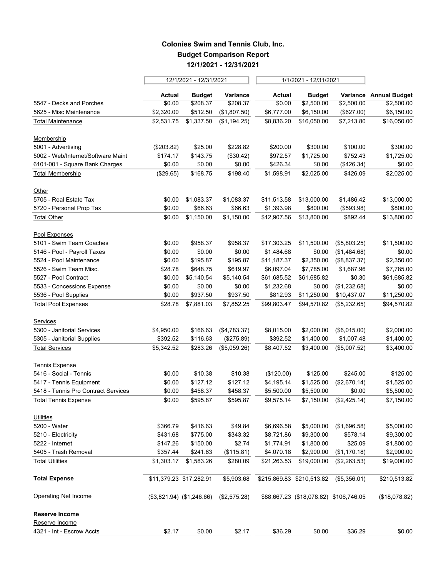## **Colonies Swim and Tennis Club, Inc. Budget Comparison Report 12/1/2021 - 12/31/2021**

|                                     |                             | 12/1/2021 - 12/31/2021 |              | 1/1/2021 - 12/31/2021 |                                        |              |                        |
|-------------------------------------|-----------------------------|------------------------|--------------|-----------------------|----------------------------------------|--------------|------------------------|
|                                     | Actual                      | <b>Budget</b>          | Variance     | <b>Actual</b>         | <b>Budget</b>                          |              | Variance Annual Budget |
| 5547 - Decks and Porches            | \$0.00                      | \$208.37               | \$208.37     | \$0.00                | \$2,500.00                             | \$2,500.00   | \$2,500.00             |
| 5625 - Misc Maintenance             | \$2,320.00                  | \$512.50               | (\$1,807.50) | \$6,777.00            | \$6,150.00                             | (\$627.00)   | \$6,150.00             |
| <b>Total Maintenance</b>            | \$2,531.75                  | \$1,337.50             | (\$1,194.25) | \$8,836.20            | \$16,050.00                            | \$7,213.80   | \$16,050.00            |
| Membership                          |                             |                        |              |                       |                                        |              |                        |
| 5001 - Advertising                  | (\$203.82)                  | \$25.00                | \$228.82     | \$200.00              | \$300.00                               | \$100.00     | \$300.00               |
| 5002 - Web/Internet/Software Maint  | \$174.17                    | \$143.75               | (\$30.42)    | \$972.57              | \$1,725.00                             | \$752.43     | \$1,725.00             |
| 6101-001 - Square Bank Charges      | \$0.00                      | \$0.00                 | \$0.00       | \$426.34              | \$0.00                                 | (\$426.34)   | \$0.00                 |
| <b>Total Membership</b>             | (\$29.65)                   | \$168.75               | \$198.40     | \$1,598.91            | \$2,025.00                             | \$426.09     | \$2,025.00             |
| Other                               |                             |                        |              |                       |                                        |              |                        |
| 5705 - Real Estate Tax              | \$0.00                      | \$1,083.37             | \$1,083.37   | \$11,513.58           | \$13,000.00                            | \$1,486.42   | \$13,000.00            |
| 5720 - Personal Prop Tax            | \$0.00                      | \$66.63                | \$66.63      | \$1,393.98            | \$800.00                               | (\$593.98)   | \$800.00               |
| <b>Total Other</b>                  | \$0.00                      | \$1,150.00             | \$1,150.00   | \$12,907.56           | \$13,800.00                            | \$892.44     | \$13,800.00            |
| Pool Expenses                       |                             |                        |              |                       |                                        |              |                        |
| 5101 - Swim Team Coaches            | \$0.00                      | \$958.37               | \$958.37     | \$17,303.25           | \$11,500.00                            | (\$5,803.25) | \$11,500.00            |
| 5146 - Pool - Payroll Taxes         | \$0.00                      | \$0.00                 | \$0.00       | \$1,484.68            | \$0.00                                 | (\$1,484.68) | \$0.00                 |
| 5524 - Pool Maintenance             | \$0.00                      | \$195.87               | \$195.87     | \$11,187.37           | \$2,350.00                             | (\$8,837.37) | \$2,350.00             |
| 5526 - Swim Team Misc.              | \$28.78                     | \$648.75               | \$619.97     | \$6,097.04            | \$7,785.00                             | \$1,687.96   | \$7,785.00             |
| 5527 - Pool Contract                | \$0.00                      | \$5,140.54             | \$5,140.54   | \$61,685.52           | \$61,685.82                            | \$0.30       | \$61,685.82            |
| 5533 - Concessions Expense          | \$0.00                      | \$0.00                 | \$0.00       | \$1,232.68            | \$0.00                                 | (\$1,232.68) | \$0.00                 |
| 5536 - Pool Supplies                | \$0.00                      | \$937.50               | \$937.50     | \$812.93              | \$11,250.00                            | \$10,437.07  | \$11,250.00            |
| <b>Total Pool Expenses</b>          | \$28.78                     | \$7,881.03             | \$7,852.25   | \$99,803.47           | \$94,570.82                            | (\$5,232.65) | \$94,570.82            |
| Services                            |                             |                        |              |                       |                                        |              |                        |
| 5300 - Janitorial Services          | \$4,950.00                  | \$166.63               | (\$4,783.37) | \$8,015.00            | \$2,000.00                             | (\$6,015.00) | \$2,000.00             |
| 5305 - Janitorial Supplies          | \$392.52                    | \$116.63               | (\$275.89)   | \$392.52              | \$1,400.00                             | \$1,007.48   | \$1,400.00             |
| <b>Total Services</b>               | \$5,342.52                  | \$283.26               | (\$5,059.26) | \$8,407.52            | \$3,400.00                             | (\$5,007.52) | \$3,400.00             |
| <b>Tennis Expense</b>               |                             |                        |              |                       |                                        |              |                        |
| 5416 - Social - Tennis              | \$0.00                      | \$10.38                | \$10.38      | (\$120.00)            | \$125.00                               | \$245.00     | \$125.00               |
| 5417 - Tennis Equipment             | \$0.00                      | \$127.12               | \$127.12     | \$4,195.14            | \$1,525.00                             | (\$2,670.14) | \$1,525.00             |
| 5418 - Tennis Pro Contract Services | \$0.00                      | \$458.37               | \$458.37     | \$5,500.00            | \$5,500.00                             | \$0.00       | \$5,500.00             |
| <b>Total Tennis Expense</b>         | \$0.00                      | \$595.87               | \$595.87     | \$9,575.14            | \$7,150.00                             | (\$2,425.14) | \$7,150.00             |
| <b>Utilities</b>                    |                             |                        |              |                       |                                        |              |                        |
| 5200 - Water                        | \$366.79                    | \$416.63               | \$49.84      | \$6,696.58            | \$5,000.00                             | (\$1,696.58) | \$5,000.00             |
| 5210 - Electricity                  | \$431.68                    | \$775.00               | \$343.32     | \$8,721.86            | \$9,300.00                             | \$578.14     | \$9,300.00             |
| 5222 - Internet                     | \$147.26                    | \$150.00               | \$2.74       | \$1,774.91            | \$1,800.00                             | \$25.09      | \$1,800.00             |
| 5405 - Trash Removal                | \$357.44                    | \$241.63               | (\$115.81)   | \$4,070.18            | \$2,900.00                             | (\$1,170.18) | \$2,900.00             |
| <b>Total Utilities</b>              | \$1,303.17                  | \$1,583.26             | \$280.09     | \$21,263.53           | \$19,000.00                            | (\$2,263.53) | \$19,000.00            |
| <b>Total Expense</b>                | \$11,379.23 \$17,282.91     |                        | \$5,903.68   |                       | \$215,869.83 \$210,513.82              | (\$5,356.01) | \$210,513.82           |
| Operating Net Income                | $($3,821.94)$ $($1,246.66)$ |                        | (\$2,575.28) |                       | \$88,667.23 (\$18,078.82) \$106,746.05 |              | (\$18,078.82)          |
| Reserve Income                      |                             |                        |              |                       |                                        |              |                        |
| Reserve Income                      |                             |                        |              |                       |                                        |              |                        |
| 4321 - Int - Escrow Accts           | \$2.17                      | \$0.00                 | \$2.17       | \$36.29               | \$0.00                                 | \$36.29      | \$0.00                 |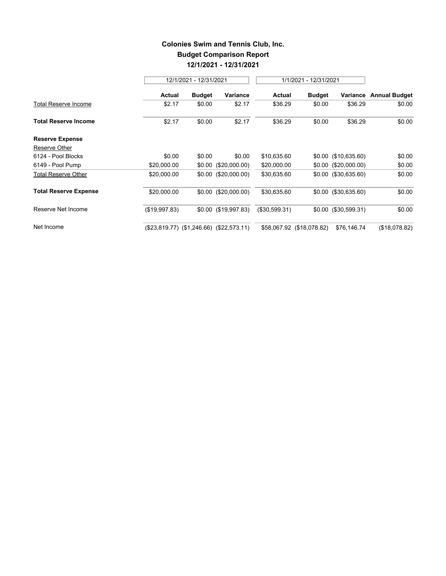## **Colonies Swim and Tennis Club, Inc. Budget Comparison Report 12/1/2021 - 12/31/2021**

 $\overline{a}$ 

|                              |                                          | 12/1/2021 - 12/31/2021 |                       |               |                           | 1/1/2021 - 12/31/2021  |                      |
|------------------------------|------------------------------------------|------------------------|-----------------------|---------------|---------------------------|------------------------|----------------------|
|                              | Actual                                   | <b>Budget</b>          | Variance              | Actual        | <b>Budget</b>             | Variance               | <b>Annual Budget</b> |
| Total Reserve Income         | \$2.17                                   | \$0.00                 | \$2.17                | \$36.29       | \$0.00                    | \$36.29                | \$0.00               |
| <b>Total Reserve Income</b>  | \$2.17                                   | \$0.00                 | \$2.17                | \$36.29       | \$0.00                    | \$36.29                | \$0.00               |
| <b>Reserve Expense</b>       |                                          |                        |                       |               |                           |                        |                      |
| Reserve Other                |                                          |                        |                       |               |                           |                        |                      |
| 6124 - Pool Blocks           | \$0.00                                   | \$0.00                 | \$0.00                | \$10,635.60   |                           | $$0.00$ (\$10,635.60)  | \$0.00               |
| 6149 - Pool Pump             | \$20,000.00                              |                        | $$0.00$ (\$20,000.00) | \$20,000.00   |                           | $$0.00$ (\$20,000.00)  | \$0.00               |
| <b>Total Reserve Other</b>   | \$20,000.00                              |                        | $$0.00$ (\$20,000.00) | \$30,635.60   |                           | $$0.00$ $($30,635.60)$ | \$0.00               |
| <b>Total Reserve Expense</b> | \$20,000.00                              |                        | $$0.00$ (\$20,000.00) | \$30,635.60   |                           | $$0.00$ $($30,635.60)$ | \$0.00               |
| Reserve Net Income           | (\$19,997.83)                            |                        | $$0.00$ (\$19,997.83) | (\$30,599.31) |                           | \$0.00 (\$30,599.31)   | \$0.00               |
| Net Income                   | (\$23,819.77) (\$1,246.66) (\$22,573.11) |                        |                       |               | \$58,067.92 (\$18,078.82) | \$76,146.74            | (\$18,078.82)        |